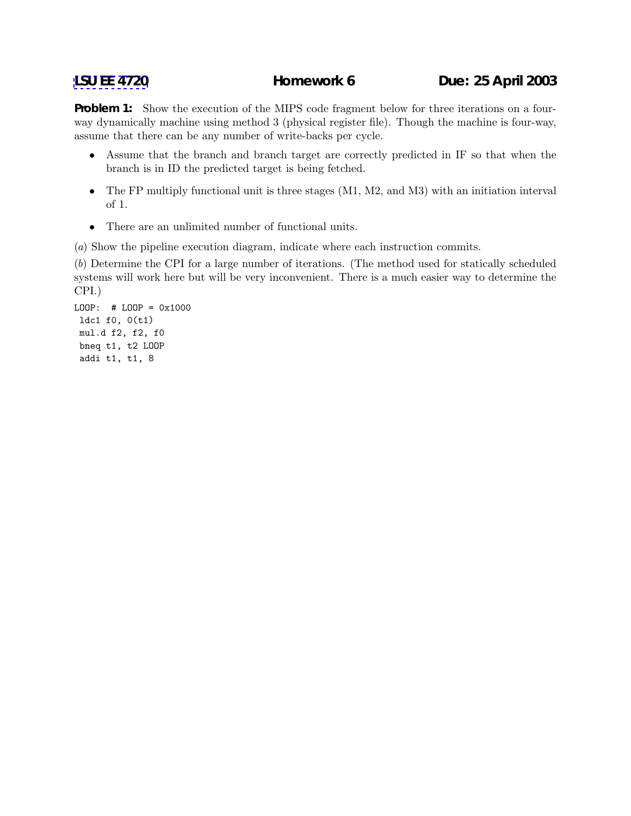**Problem 1:** Show the execution of the MIPS code fragment below for three iterations on a fourway dynamically machine using method 3 (physical register file). Though the machine is four-way, assume that there can be any number of write-backs per cycle.

- Assume that the branch and branch target are correctly predicted in IF so that when the branch is in ID the predicted target is being fetched.
- The FP multiply functional unit is three stages (M1, M2, and M3) with an initiation interval of 1.
- There are an unlimited number of functional units.

(a) Show the pipeline execution diagram, indicate where each instruction commits.

(b) Determine the CPI for a large number of iterations. (The method used for statically scheduled systems will work here but will be very inconvenient. There is a much easier way to determine the CPI.)

LOOP: # LOOP = 0x1000 ldc1 f0, 0(t1) mul.d f2, f2, f0 bneq t1, t2 LOOP addi t1, t1, 8